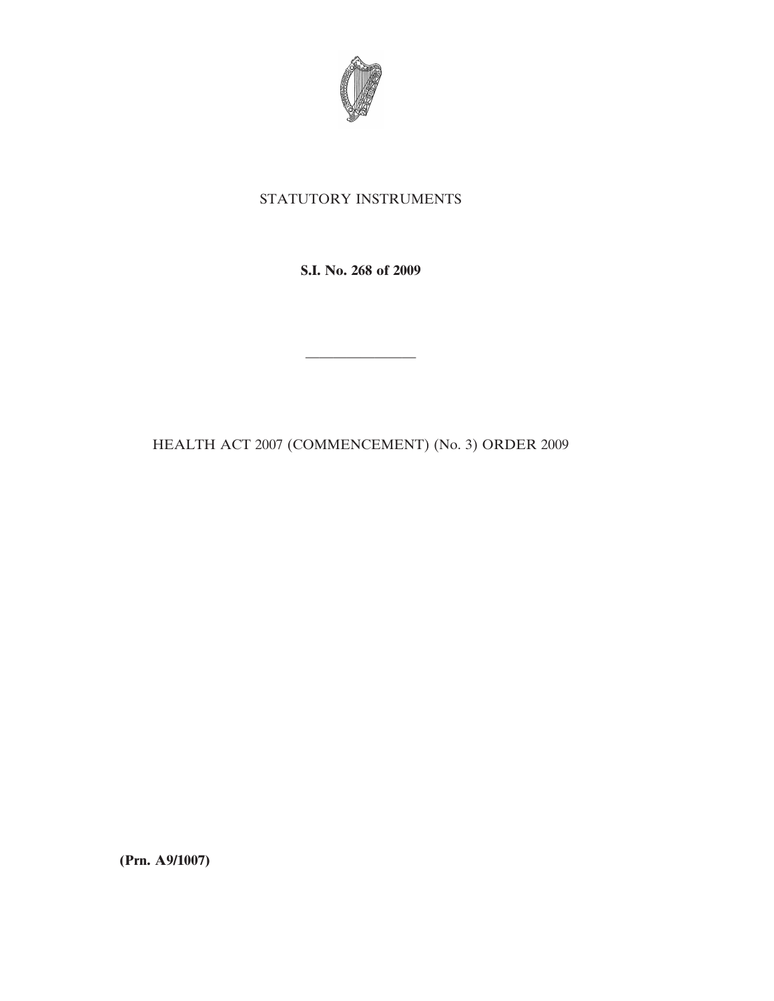

## STATUTORY INSTRUMENTS

**S.I. No. 268 of 2009**

————————

HEALTH ACT 2007 (COMMENCEMENT) (No. 3) ORDER 2009

**(Prn. A9/1007)**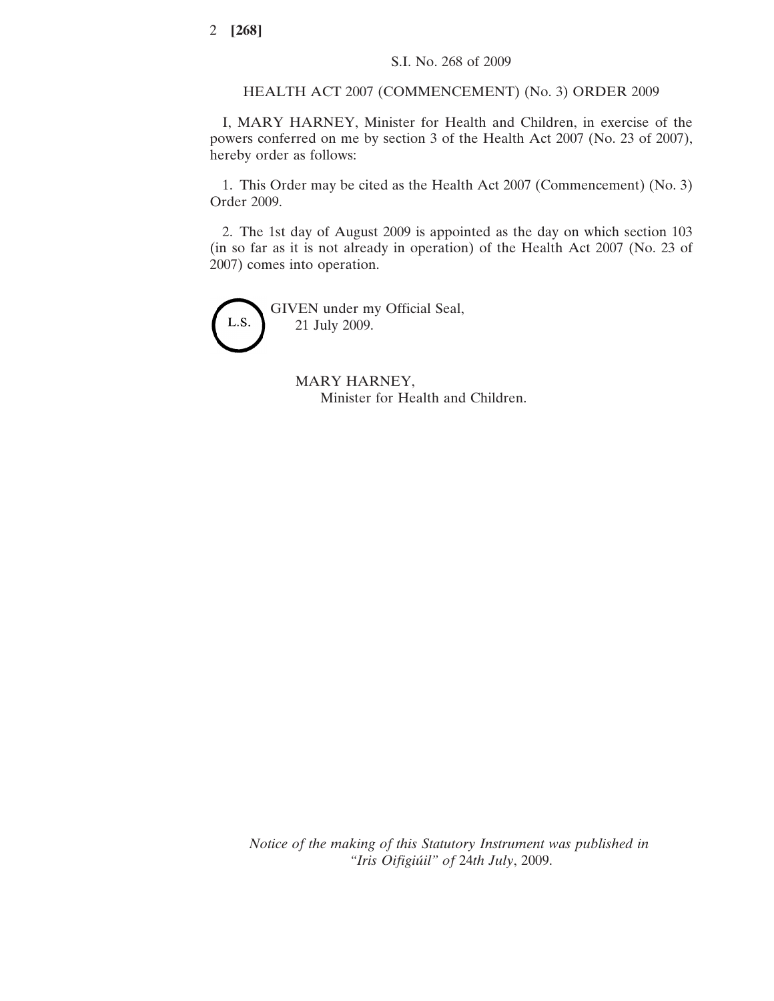HEALTH ACT 2007 (COMMENCEMENT) (No. 3) ORDER 2009

I, MARY HARNEY, Minister for Health and Children, in exercise of the powers conferred on me by section 3 of the Health Act 2007 (No. 23 of 2007), hereby order as follows:

1. This Order may be cited as the Health Act 2007 (Commencement) (No. 3) Order 2009.

2. The 1st day of August 2009 is appointed as the day on which section 103 (in so far as it is not already in operation) of the Health Act 2007 (No. 23 of 2007) comes into operation.



MARY HARNEY, Minister for Health and Children.

*Notice of the making of this Statutory Instrument was published in "Iris Oifigiu´il" of* 24*th July*, 2009.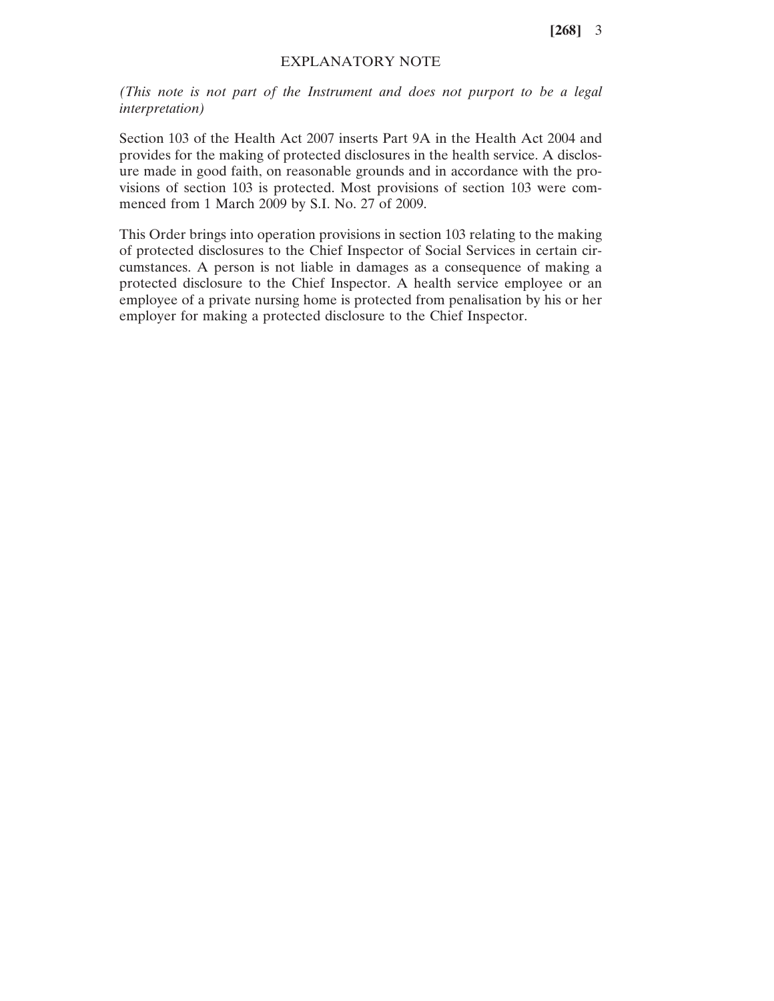**[268]** 3

## EXPLANATORY NOTE

*(This note is not part of the Instrument and does not purport to be a legal interpretation)*

Section 103 of the Health Act 2007 inserts Part 9A in the Health Act 2004 and provides for the making of protected disclosures in the health service. A disclosure made in good faith, on reasonable grounds and in accordance with the provisions of section 103 is protected. Most provisions of section 103 were commenced from 1 March 2009 by S.I. No. 27 of 2009.

This Order brings into operation provisions in section 103 relating to the making of protected disclosures to the Chief Inspector of Social Services in certain circumstances. A person is not liable in damages as a consequence of making a protected disclosure to the Chief Inspector. A health service employee or an employee of a private nursing home is protected from penalisation by his or her employer for making a protected disclosure to the Chief Inspector.